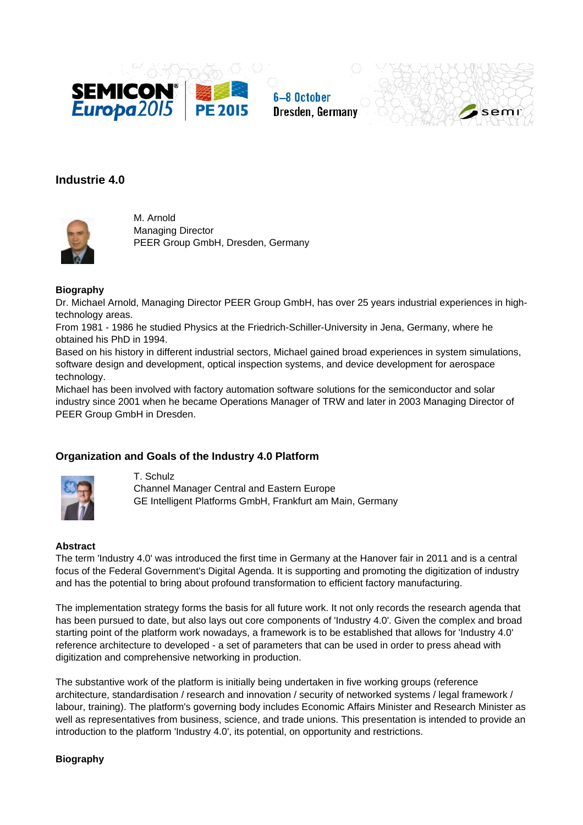

6-8 October Dresden, Germany



# **Industrie 4.0**



M. Arnold Managing Director PEER Group GmbH, Dresden, Germany

### **Biography**

Dr. Michael Arnold, Managing Director PEER Group GmbH, has over 25 years industrial experiences in hightechnology areas.

From 1981 - 1986 he studied Physics at the Friedrich-Schiller-University in Jena, Germany, where he obtained his PhD in 1994.

Based on his history in different industrial sectors, Michael gained broad experiences in system simulations, software design and development, optical inspection systems, and device development for aerospace technology.

Michael has been involved with factory automation software solutions for the semiconductor and solar industry since 2001 when he became Operations Manager of TRW and later in 2003 Managing Director of PEER Group GmbH in Dresden.

## **Organization and Goals of the Industry 4.0 Platform**



T. Schulz Channel Manager Central and Eastern Europe GE Intelligent Platforms GmbH, Frankfurt am Main, Germany

### **Abstract**

The term 'Industry 4.0' was introduced the first time in Germany at the Hanover fair in 2011 and is a central focus of the Federal Government's Digital Agenda. It is supporting and promoting the digitization of industry and has the potential to bring about profound transformation to efficient factory manufacturing.

The implementation strategy forms the basis for all future work. It not only records the research agenda that has been pursued to date, but also lays out core components of 'Industry 4.0'. Given the complex and broad starting point of the platform work nowadays, a framework is to be established that allows for 'Industry 4.0' reference architecture to developed - a set of parameters that can be used in order to press ahead with digitization and comprehensive networking in production.

The substantive work of the platform is initially being undertaken in five working groups (reference architecture, standardisation / research and innovation / security of networked systems / legal framework / labour, training). The platform's governing body includes Economic Affairs Minister and Research Minister as well as representatives from business, science, and trade unions. This presentation is intended to provide an introduction to the platform 'Industry 4.0', its potential, on opportunity and restrictions.

### **Biography**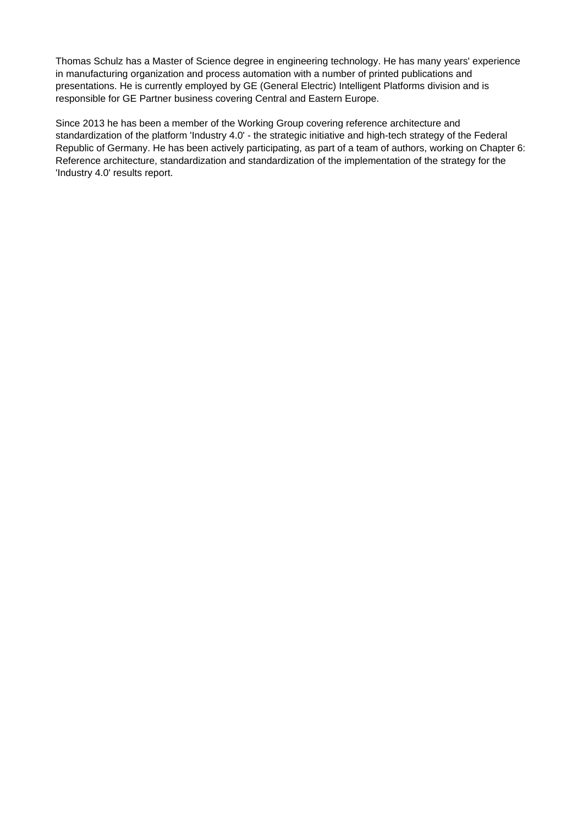Thomas Schulz has a Master of Science degree in engineering technology. He has many years' experience in manufacturing organization and process automation with a number of printed publications and presentations. He is currently employed by GE (General Electric) Intelligent Platforms division and is responsible for GE Partner business covering Central and Eastern Europe.

Since 2013 he has been a member of the Working Group covering reference architecture and standardization of the platform 'Industry 4.0' - the strategic initiative and high-tech strategy of the Federal Republic of Germany. He has been actively participating, as part of a team of authors, working on Chapter 6: Reference architecture, standardization and standardization of the implementation of the strategy for the 'Industry 4.0' results report.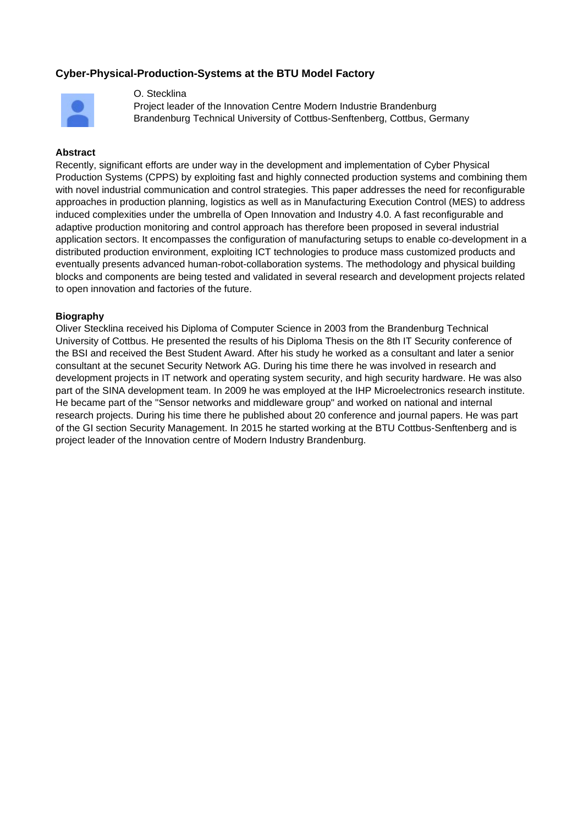## **Cyber-Physical-Production-Systems at the BTU Model Factory**



#### O. Stecklina

Project leader of the Innovation Centre Modern Industrie Brandenburg Brandenburg Technical University of Cottbus-Senftenberg, Cottbus, Germany

#### **Abstract**

Recently, significant efforts are under way in the development and implementation of Cyber Physical Production Systems (CPPS) by exploiting fast and highly connected production systems and combining them with novel industrial communication and control strategies. This paper addresses the need for reconfigurable approaches in production planning, logistics as well as in Manufacturing Execution Control (MES) to address induced complexities under the umbrella of Open Innovation and Industry 4.0. A fast reconfigurable and adaptive production monitoring and control approach has therefore been proposed in several industrial application sectors. It encompasses the configuration of manufacturing setups to enable co-development in a distributed production environment, exploiting ICT technologies to produce mass customized products and eventually presents advanced human-robot-collaboration systems. The methodology and physical building blocks and components are being tested and validated in several research and development projects related to open innovation and factories of the future.

#### **Biography**

Oliver Stecklina received his Diploma of Computer Science in 2003 from the Brandenburg Technical University of Cottbus. He presented the results of his Diploma Thesis on the 8th IT Security conference of the BSI and received the Best Student Award. After his study he worked as a consultant and later a senior consultant at the secunet Security Network AG. During his time there he was involved in research and development projects in IT network and operating system security, and high security hardware. He was also part of the SINA development team. In 2009 he was employed at the IHP Microelectronics research institute. He became part of the "Sensor networks and middleware group" and worked on national and internal research projects. During his time there he published about 20 conference and journal papers. He was part of the GI section Security Management. In 2015 he started working at the BTU Cottbus-Senftenberg and is project leader of the Innovation centre of Modern Industry Brandenburg.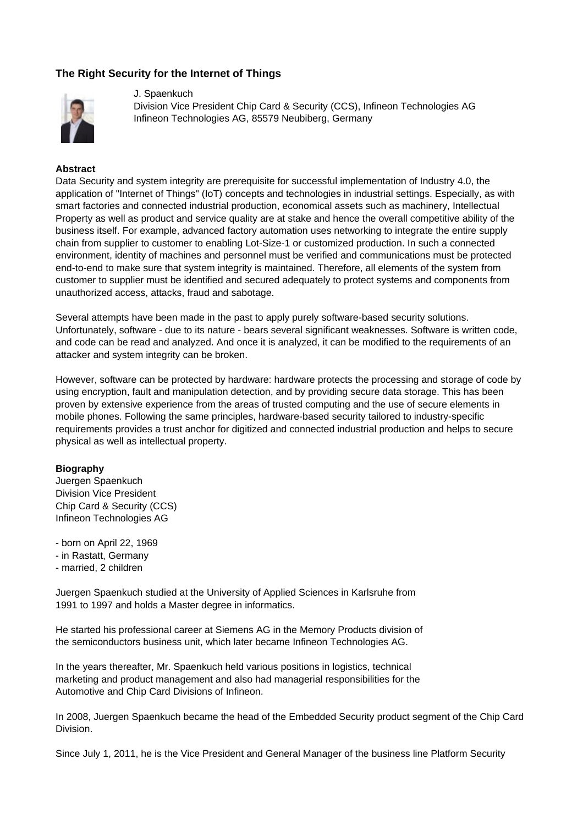## **The Right Security for the Internet of Things**



#### J. Spaenkuch

Division Vice President Chip Card & Security (CCS), Infineon Technologies AG Infineon Technologies AG, 85579 Neubiberg, Germany

### **Abstract**

Data Security and system integrity are prerequisite for successful implementation of Industry 4.0, the application of "Internet of Things" (IoT) concepts and technologies in industrial settings. Especially, as with smart factories and connected industrial production, economical assets such as machinery, Intellectual Property as well as product and service quality are at stake and hence the overall competitive ability of the business itself. For example, advanced factory automation uses networking to integrate the entire supply chain from supplier to customer to enabling Lot-Size-1 or customized production. In such a connected environment, identity of machines and personnel must be verified and communications must be protected end-to-end to make sure that system integrity is maintained. Therefore, all elements of the system from customer to supplier must be identified and secured adequately to protect systems and components from unauthorized access, attacks, fraud and sabotage.

Several attempts have been made in the past to apply purely software-based security solutions. Unfortunately, software - due to its nature - bears several significant weaknesses. Software is written code, and code can be read and analyzed. And once it is analyzed, it can be modified to the requirements of an attacker and system integrity can be broken.

However, software can be protected by hardware: hardware protects the processing and storage of code by using encryption, fault and manipulation detection, and by providing secure data storage. This has been proven by extensive experience from the areas of trusted computing and the use of secure elements in mobile phones. Following the same principles, hardware-based security tailored to industry-specific requirements provides a trust anchor for digitized and connected industrial production and helps to secure physical as well as intellectual property.

### **Biography**

Juergen Spaenkuch Division Vice President Chip Card & Security (CCS) Infineon Technologies AG

- born on April 22, 1969
- in Rastatt, Germany
- married, 2 children

Juergen Spaenkuch studied at the University of Applied Sciences in Karlsruhe from 1991 to 1997 and holds a Master degree in informatics.

He started his professional career at Siemens AG in the Memory Products division of the semiconductors business unit, which later became Infineon Technologies AG.

In the years thereafter, Mr. Spaenkuch held various positions in logistics, technical marketing and product management and also had managerial responsibilities for the Automotive and Chip Card Divisions of Infineon.

In 2008, Juergen Spaenkuch became the head of the Embedded Security product segment of the Chip Card Division.

Since July 1, 2011, he is the Vice President and General Manager of the business line Platform Security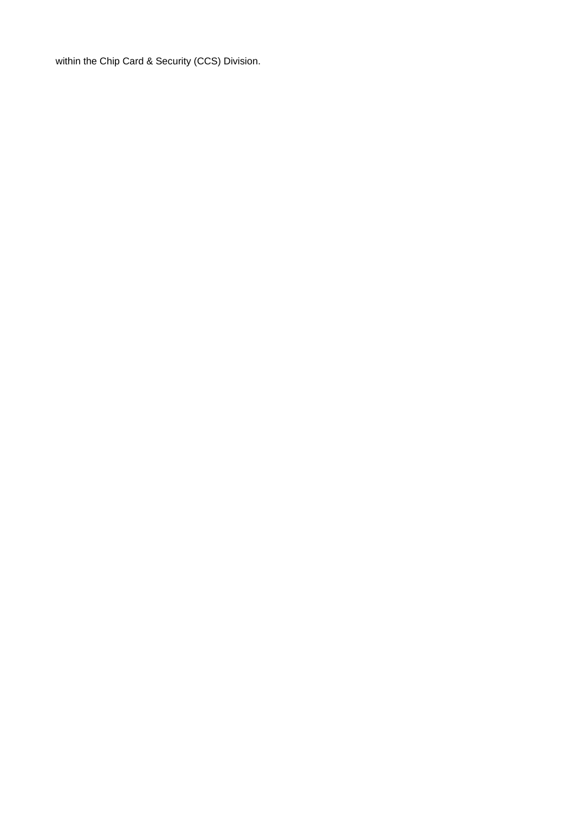within the Chip Card & Security (CCS) Division.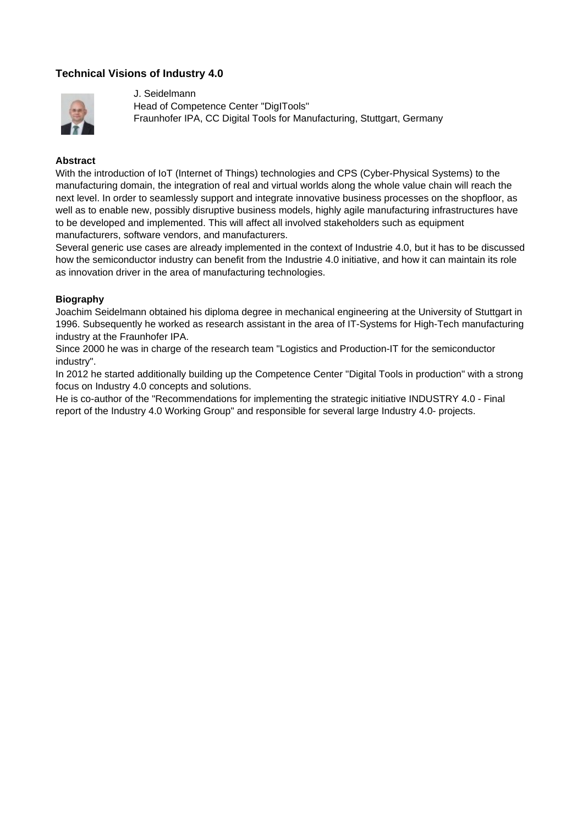## **Technical Visions of Industry 4.0**



J. Seidelmann Head of Competence Center "DigITools" Fraunhofer IPA, CC Digital Tools for Manufacturing, Stuttgart, Germany

#### **Abstract**

With the introduction of IoT (Internet of Things) technologies and CPS (Cyber-Physical Systems) to the manufacturing domain, the integration of real and virtual worlds along the whole value chain will reach the next level. In order to seamlessly support and integrate innovative business processes on the shopfloor, as well as to enable new, possibly disruptive business models, highly agile manufacturing infrastructures have to be developed and implemented. This will affect all involved stakeholders such as equipment manufacturers, software vendors, and manufacturers.

Several generic use cases are already implemented in the context of Industrie 4.0, but it has to be discussed how the semiconductor industry can benefit from the Industrie 4.0 initiative, and how it can maintain its role as innovation driver in the area of manufacturing technologies.

### **Biography**

Joachim Seidelmann obtained his diploma degree in mechanical engineering at the University of Stuttgart in 1996. Subsequently he worked as research assistant in the area of IT-Systems for High-Tech manufacturing industry at the Fraunhofer IPA.

Since 2000 he was in charge of the research team "Logistics and Production-IT for the semiconductor industry".

In 2012 he started additionally building up the Competence Center "Digital Tools in production" with a strong focus on Industry 4.0 concepts and solutions.

He is co-author of the "Recommendations for implementing the strategic initiative INDUSTRY 4.0 - Final report of the Industry 4.0 Working Group" and responsible for several large Industry 4.0- projects.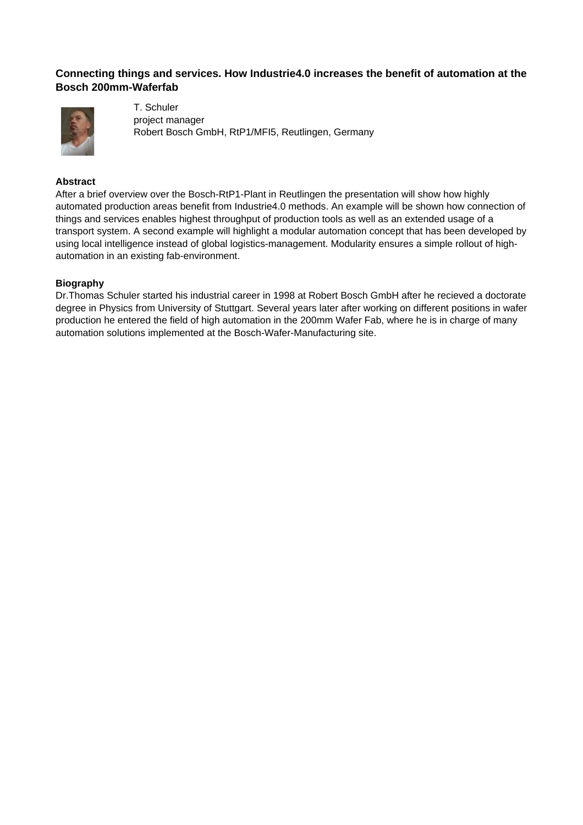## **Connecting things and services. How Industrie4.0 increases the benefit of automation at the Bosch 200mm-Waferfab**



T. Schuler project manager Robert Bosch GmbH, RtP1/MFI5, Reutlingen, Germany

### **Abstract**

After a brief overview over the Bosch-RtP1-Plant in Reutlingen the presentation will show how highly automated production areas benefit from Industrie4.0 methods. An example will be shown how connection of things and services enables highest throughput of production tools as well as an extended usage of a transport system. A second example will highlight a modular automation concept that has been developed by using local intelligence instead of global logistics-management. Modularity ensures a simple rollout of highautomation in an existing fab-environment.

#### **Biography**

Dr.Thomas Schuler started his industrial career in 1998 at Robert Bosch GmbH after he recieved a doctorate degree in Physics from University of Stuttgart. Several years later after working on different positions in wafer production he entered the field of high automation in the 200mm Wafer Fab, where he is in charge of many automation solutions implemented at the Bosch-Wafer-Manufacturing site.